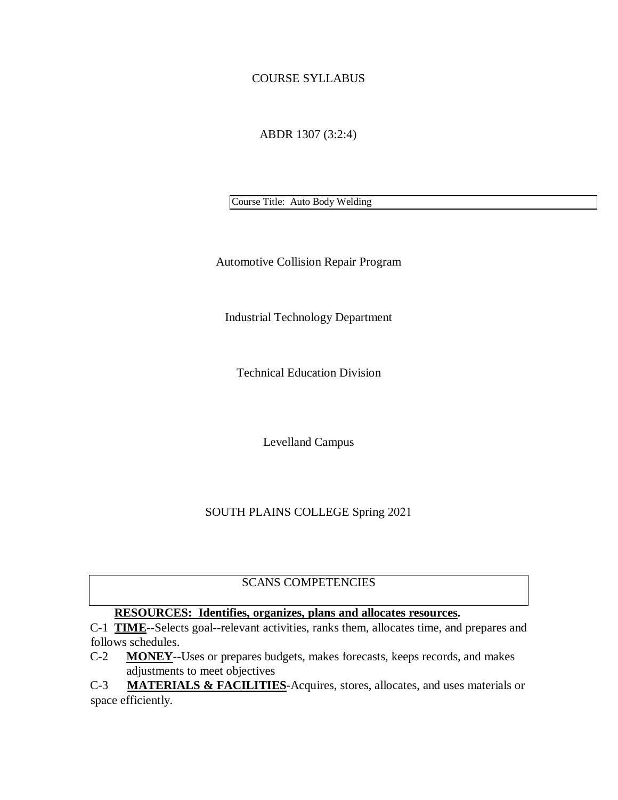### COURSE SYLLABUS

ABDR 1307 (3:2:4)

Course Title: Auto Body Welding

Automotive Collision Repair Program

Industrial Technology Department

Technical Education Division

Levelland Campus

#### SOUTH PLAINS COLLEGE Spring 2021

## SCANS COMPETENCIES

## **RESOURCES: Identifies, organizes, plans and allocates resources.**

C-1 **TIME**--Selects goal--relevant activities, ranks them, allocates time, and prepares and follows schedules.

- C-2 **MONEY**--Uses or prepares budgets, makes forecasts, keeps records, and makes adjustments to meet objectives
- C-3 **MATERIALS & FACILITIES**-Acquires, stores, allocates, and uses materials or space efficiently.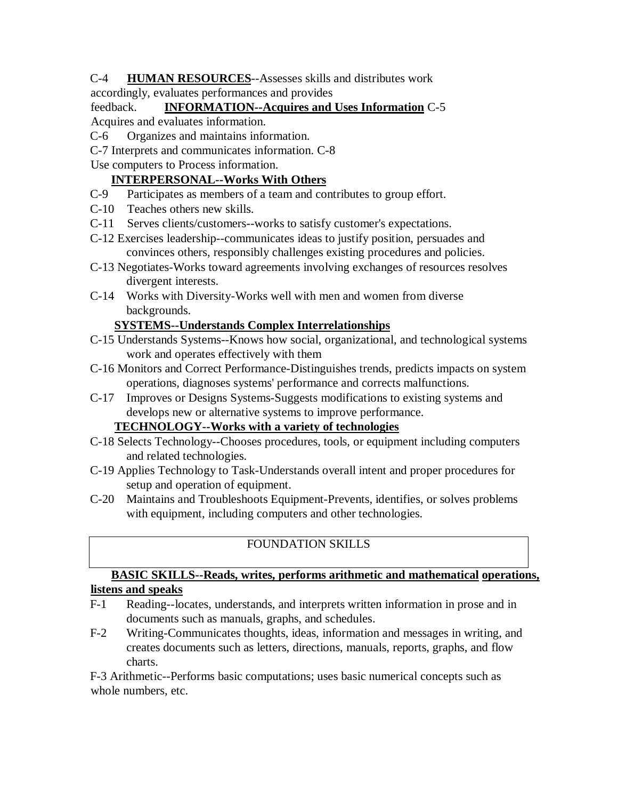- C-4 **HUMAN RESOURCES**--Assesses skills and distributes work
- accordingly, evaluates performances and provides

## feedback. **INFORMATION--Acquires and Uses Information** C-5 Acquires and evaluates information.

- C-6 Organizes and maintains information.
- C-7 Interprets and communicates information. C-8
- Use computers to Process information.

### **INTERPERSONAL--Works With Others**

- C-9 Participates as members of a team and contributes to group effort.
- C-10 Teaches others new skills.
- C-11 Serves clients/customers--works to satisfy customer's expectations.
- C-12 Exercises leadership--communicates ideas to justify position, persuades and convinces others, responsibly challenges existing procedures and policies.
- C-13 Negotiates-Works toward agreements involving exchanges of resources resolves divergent interests.
- C-14 Works with Diversity-Works well with men and women from diverse backgrounds.

### **SYSTEMS--Understands Complex Interrelationships**

- C-15 Understands Systems--Knows how social, organizational, and technological systems work and operates effectively with them
- C-16 Monitors and Correct Performance-Distinguishes trends, predicts impacts on system operations, diagnoses systems' performance and corrects malfunctions.
- C-17 Improves or Designs Systems-Suggests modifications to existing systems and develops new or alternative systems to improve performance.

### **TECHNOLOGY--Works with a variety of technologies**

- C-18 Selects Technology--Chooses procedures, tools, or equipment including computers and related technologies.
- C-19 Applies Technology to Task-Understands overall intent and proper procedures for setup and operation of equipment.
- C-20 Maintains and Troubleshoots Equipment-Prevents, identifies, or solves problems with equipment, including computers and other technologies.

# FOUNDATION SKILLS

### **BASIC SKILLS--Reads, writes, performs arithmetic and mathematical operations, listens and speaks**

- F-1 Reading--locates, understands, and interprets written information in prose and in documents such as manuals, graphs, and schedules.
- F-2 Writing-Communicates thoughts, ideas, information and messages in writing, and creates documents such as letters, directions, manuals, reports, graphs, and flow charts.

F-3 Arithmetic--Performs basic computations; uses basic numerical concepts such as whole numbers, etc.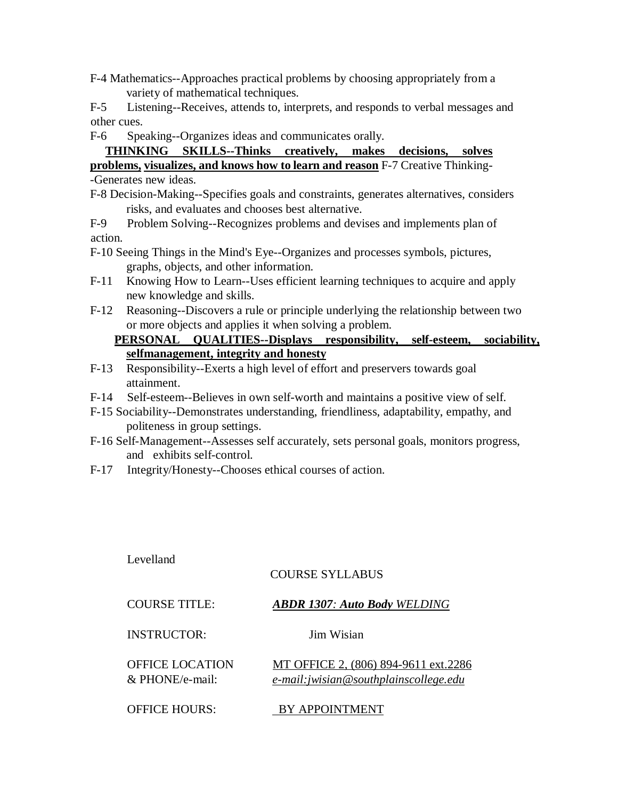F-4 Mathematics--Approaches practical problems by choosing appropriately from a variety of mathematical techniques.

F-5 Listening--Receives, attends to, interprets, and responds to verbal messages and other cues.

F-6 Speaking--Organizes ideas and communicates orally.

**THINKING SKILLS--Thinks creatively, makes decisions, solves problems, visualizes, and knows how to learn and reason** F-7 Creative Thinking-

-Generates new ideas.

F-8 Decision-Making--Specifies goals and constraints, generates alternatives, considers risks, and evaluates and chooses best alternative.

F-9 Problem Solving--Recognizes problems and devises and implements plan of action.

- F-10 Seeing Things in the Mind's Eye--Organizes and processes symbols, pictures, graphs, objects, and other information.
- F-11 Knowing How to Learn--Uses efficient learning techniques to acquire and apply new knowledge and skills.
- F-12 Reasoning--Discovers a rule or principle underlying the relationship between two or more objects and applies it when solving a problem.

# **PERSONAL QUALITIES--Displays responsibility, self-esteem, sociability, selfmanagement, integrity and honesty**

- F-13 Responsibility--Exerts a high level of effort and preservers towards goal attainment.
- F-14 Self-esteem--Believes in own self-worth and maintains a positive view of self.
- F-15 Sociability--Demonstrates understanding, friendliness, adaptability, empathy, and politeness in group settings.
- F-16 Self-Management--Assesses self accurately, sets personal goals, monitors progress, and exhibits self-control.
- F-17 Integrity/Honesty--Chooses ethical courses of action.

| Levelland                             |                                                                                |
|---------------------------------------|--------------------------------------------------------------------------------|
|                                       | COURSE SYLLABUS                                                                |
| COURSE TITLE:                         | <b>ABDR 1307: Auto Body WELDING</b>                                            |
| INSTRUCTOR:                           | Jim Wisian                                                                     |
| OFFICE LOCATION<br>$\&$ PHONE/e-mail: | MT OFFICE 2, (806) 894-9611 ext.2286<br>e-mail: jwisian@southplainscollege.edu |
| <b>OFFICE HOURS:</b>                  | <b>APPOINTME</b>                                                               |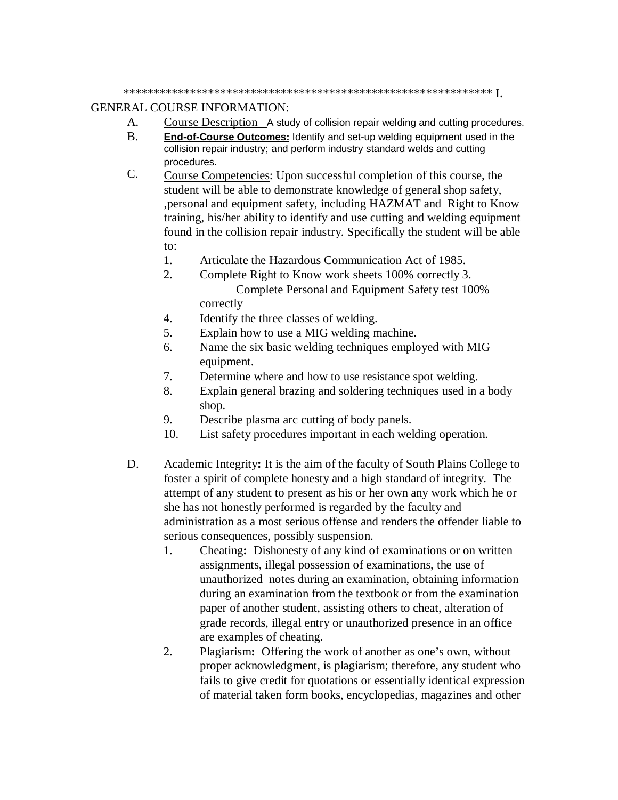\*\*\*\*\*\*\*\*\*\*\*\*\*\*\*\*\*\*\*\*\*\*\*\*\*\*\*\*\*\*\*\*\*\*\*\*\*\*\*\*\*\*\*\*\*\*\*\*\*\*\*\*\*\*\*\*\*\*\*\*\* I.

#### GENERAL COURSE INFORMATION:

- A. Course Description A study of collision repair welding and cutting procedures.
- B. **End-of-Course Outcomes:** Identify and set-up welding equipment used in the collision repair industry; and perform industry standard welds and cutting procedures.
- C. Course Competencies: Upon successful completion of this course, the student will be able to demonstrate knowledge of general shop safety, ,personal and equipment safety, including HAZMAT and Right to Know training, his/her ability to identify and use cutting and welding equipment found in the collision repair industry. Specifically the student will be able to:
	- 1. Articulate the Hazardous Communication Act of 1985.
	- 2. Complete Right to Know work sheets 100% correctly 3. Complete Personal and Equipment Safety test 100% correctly
	- 4. Identify the three classes of welding.
	- 5. Explain how to use a MIG welding machine.
	- 6. Name the six basic welding techniques employed with MIG equipment.
	- 7. Determine where and how to use resistance spot welding.
	- 8. Explain general brazing and soldering techniques used in a body shop.
	- 9. Describe plasma arc cutting of body panels.
	- 10. List safety procedures important in each welding operation.
- D. Academic Integrity**:** It is the aim of the faculty of South Plains College to foster a spirit of complete honesty and a high standard of integrity. The attempt of any student to present as his or her own any work which he or she has not honestly performed is regarded by the faculty and administration as a most serious offense and renders the offender liable to serious consequences, possibly suspension.
	- 1. Cheating**:** Dishonesty of any kind of examinations or on written assignments, illegal possession of examinations, the use of unauthorized notes during an examination, obtaining information during an examination from the textbook or from the examination paper of another student, assisting others to cheat, alteration of grade records, illegal entry or unauthorized presence in an office are examples of cheating.
	- 2. Plagiarism**:** Offering the work of another as one's own, without proper acknowledgment, is plagiarism; therefore, any student who fails to give credit for quotations or essentially identical expression of material taken form books, encyclopedias, magazines and other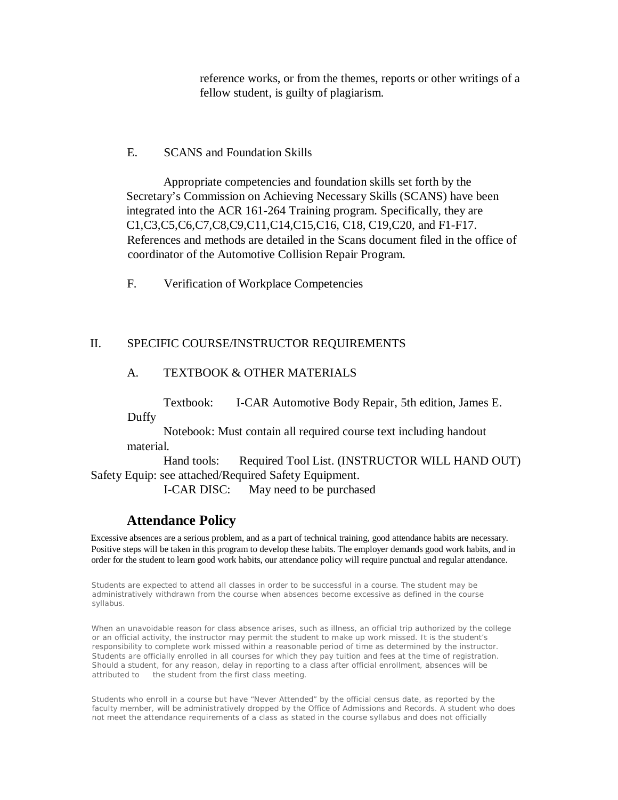reference works, or from the themes, reports or other writings of a fellow student, is guilty of plagiarism.

#### E. SCANS and Foundation Skills

Appropriate competencies and foundation skills set forth by the Secretary's Commission on Achieving Necessary Skills (SCANS) have been integrated into the ACR 161-264 Training program. Specifically, they are C1,C3,C5,C6,C7,C8,C9,C11,C14,C15,C16, C18, C19,C20, and F1-F17. References and methods are detailed in the Scans document filed in the office of coordinator of the Automotive Collision Repair Program.

F. Verification of Workplace Competencies

#### II. SPECIFIC COURSE/INSTRUCTOR REQUIREMENTS

### A. TEXTBOOK & OTHER MATERIALS

Textbook: I-CAR Automotive Body Repair, 5th edition, James E. Duffy

Notebook: Must contain all required course text including handout material.

Hand tools: Required Tool List. (INSTRUCTOR WILL HAND OUT) Safety Equip: see attached/Required Safety Equipment.

I-CAR DISC: May need to be purchased

## **Attendance Policy**

Excessive absences are a serious problem, and as a part of technical training, good attendance habits are necessary. Positive steps will be taken in this program to develop these habits. The employer demands good work habits, and in order for the student to learn good work habits, our attendance policy will require punctual and regular attendance.

Students are expected to attend all classes in order to be successful in a course. The student may be administratively withdrawn from the course when absences become excessive as defined in the course syllabus.

When an unavoidable reason for class absence arises, such as illness, an official trip authorized by the college or an official activity, the instructor may permit the student to make up work missed. It is the student's responsibility to complete work missed within a reasonable period of time as determined by the instructor. Students are officially enrolled in all courses for which they pay tuition and fees at the time of registration. Should a student, for any reason, delay in reporting to a class after official enrollment, absences will be attributed to the student from the first class meeting.

Students who enroll in a course but have "Never Attended" by the official census date, as reported by the faculty member, will be administratively dropped by the Office of Admissions and Records. A student who does not meet the attendance requirements of a class as stated in the course syllabus and does not officially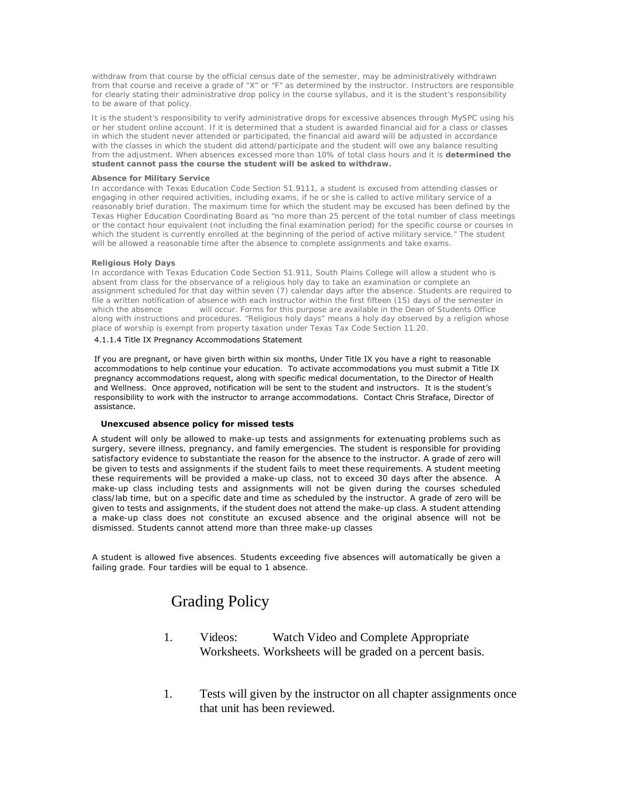withdraw from that course by the official census date of the semester, may be administratively withdrawn from that course and receive a grade of "X" or "F" as determined by the instructor. Instructors are responsible for clearly stating their administrative drop policy in the course syllabus, and it is the student's responsibility to be aware of that policy.

It is the student's responsibility to verify administrative drops for excessive absences through MySPC using his or her student online account. If it is determined that a student is awarded financial aid for a class or classes in which the student never attended or participated, the financial aid award will be adjusted in accordance with the classes in which the student did attend/participate and the student will owe any balance resulting from the adjustment. When absences excessed more than 10% of total class hours and it is **determined the student cannot pass the course the student will be asked to withdraw.**

#### **Absence for Military Service**

In accordance with Texas Education Code Section 51.9111, a student is excused from attending classes or engaging in other required activities, including exams, if he or she is called to active military service of a reasonably brief duration. The maximum time for which the student may be excused has been defined by the Texas Higher Education Coordinating Board as "no more than 25 percent of the total number of class meetings or the contact hour equivalent (not including the final examination period) for the specific course or courses in which the student is currently enrolled at the beginning of the period of active military service." The student will be allowed a reasonable time after the absence to complete assignments and take exams.

#### **Religious Holy Days**

In accordance with Texas Education Code Section 51.911, South Plains College will allow a student who is absent from class for the observance of a religious holy day to take an examination or complete an assignment scheduled for that day within seven (7) calendar days after the absence. Students are required to file a written notification of absence with each instructor within the first fifteen (15) days of the semester in<br>which the absence will occur. Forms for this purpose are available in the Dean of Students Office will occur. Forms for this purpose are available in the Dean of Students Office along with instructions and procedures. "Religious holy days" means a holy day observed by a religion whose place of worship is exempt from property taxation under Texas Tax Code Section 11.20.

#### 4.1.1.4 Title IX Pregnancy Accommodations Statement

If you are pregnant, or have given birth within six months, Under Title IX you have a right to reasonable accommodations to help continue your education. To activate accommodations you must submit a Title IX pregnancy accommodations request, along with specific medical documentation, to the Director of Health and Wellness. Once approved, notification will be sent to the student and instructors. It is the student's responsibility to work with the instructor to arrange accommodations. Contact Chris Straface, Director of assistance.

#### **Unexcused absence policy for missed tests**

A student will only be allowed to make-up tests and assignments for extenuating problems such as surgery, severe illness, pregnancy, and family emergencies. The student is responsible for providing satisfactory evidence to substantiate the reason for the absence to the instructor. A grade of zero will be given to tests and assignments if the student fails to meet these requirements. A student meeting these requirements will be provided a make-up class, not to exceed 30 days after the absence. A make-up class including tests and assignments will not be given during the courses scheduled class/lab time, but on a specific date and time as scheduled by the instructor. A grade of zero will be given to tests and assignments, if the student does not attend the make-up class. A student attending a make-up class does not constitute an excused absence and the original absence will not be dismissed. Students cannot attend more than three make-up classes

A student is allowed five absences. Students exceeding five absences will automatically be given a failing grade. Four tardies will be equal to 1 absence.

# Grading Policy

- 1. Videos: Watch Video and Complete Appropriate Worksheets. Worksheets will be graded on a percent basis.
- 1. Tests will given by the instructor on all chapter assignments once that unit has been reviewed.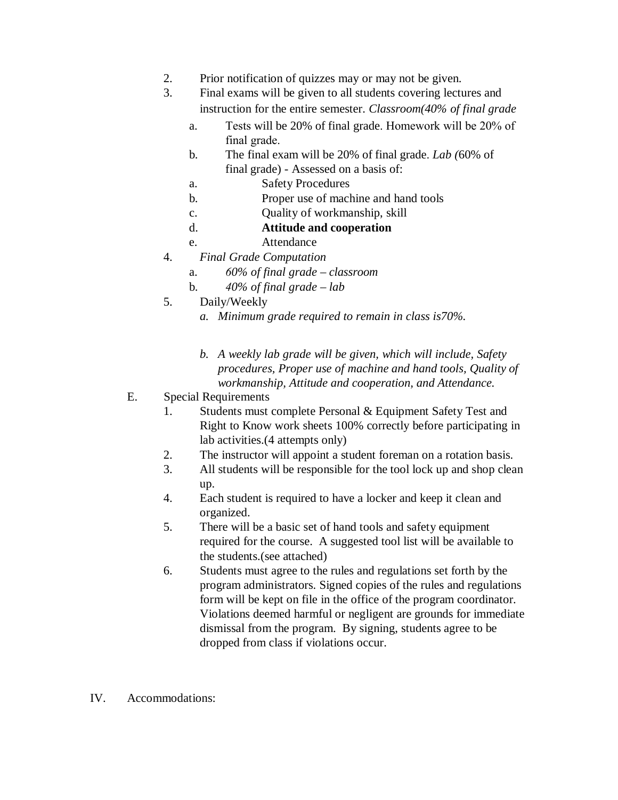- 2. Prior notification of quizzes may or may not be given.
- 3. Final exams will be given to all students covering lectures and instruction for the entire semester. *Classroom(40% of final grade*
	- a. Tests will be 20% of final grade. Homework will be 20% of final grade.
	- b. The final exam will be 20% of final grade. *Lab (*60% of final grade) - Assessed on a basis of:
	- a. Safety Procedures
	- b. Proper use of machine and hand tools
	- c. Quality of workmanship, skill
	- d. **Attitude and cooperation**
	- e. Attendance
- 4. *Final Grade Computation*
	- a. *60% of final grade classroom*
	- b. *40% of final grade lab*
- 5. Daily/Weekly
	- *a. Minimum grade required to remain in class is70%.*
	- *b. A weekly lab grade will be given, which will include, Safety procedures, Proper use of machine and hand tools, Quality of workmanship, Attitude and cooperation, and Attendance.*
- E. Special Requirements
	- 1. Students must complete Personal & Equipment Safety Test and Right to Know work sheets 100% correctly before participating in lab activities.(4 attempts only)
	- 2. The instructor will appoint a student foreman on a rotation basis.
	- 3. All students will be responsible for the tool lock up and shop clean up.
	- 4. Each student is required to have a locker and keep it clean and organized.
	- 5. There will be a basic set of hand tools and safety equipment required for the course. A suggested tool list will be available to the students.(see attached)
	- 6. Students must agree to the rules and regulations set forth by the program administrators. Signed copies of the rules and regulations form will be kept on file in the office of the program coordinator. Violations deemed harmful or negligent are grounds for immediate dismissal from the program. By signing, students agree to be dropped from class if violations occur.
- IV. Accommodations: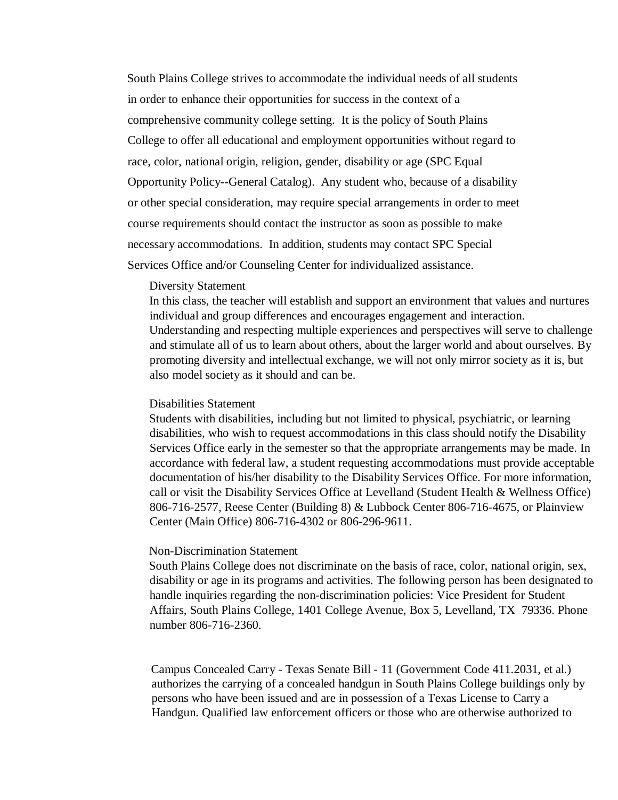South Plains College strives to accommodate the individual needs of all students in order to enhance their opportunities for success in the context of a comprehensive community college setting. It is the policy of South Plains College to offer all educational and employment opportunities without regard to race, color, national origin, religion, gender, disability or age (SPC Equal Opportunity Policy--General Catalog). Any student who, because of a disability or other special consideration, may require special arrangements in order to meet course requirements should contact the instructor as soon as possible to make necessary accommodations. In addition, students may contact SPC Special Services Office and/or Counseling Center for individualized assistance.

#### Diversity Statement

In this class, the teacher will establish and support an environment that values and nurtures individual and group differences and encourages engagement and interaction. Understanding and respecting multiple experiences and perspectives will serve to challenge and stimulate all of us to learn about others, about the larger world and about ourselves. By promoting diversity and intellectual exchange, we will not only mirror society as it is, but also model society as it should and can be.

#### Disabilities Statement

Students with disabilities, including but not limited to physical, psychiatric, or learning disabilities, who wish to request accommodations in this class should notify the Disability Services Office early in the semester so that the appropriate arrangements may be made. In accordance with federal law, a student requesting accommodations must provide acceptable documentation of his/her disability to the Disability Services Office. For more information, call or visit the Disability Services Office at Levelland (Student Health & Wellness Office) 806-716-2577, Reese Center (Building 8) & Lubbock Center 806-716-4675, or Plainview Center (Main Office) 806-716-4302 or 806-296-9611.

#### Non-Discrimination Statement

South Plains College does not discriminate on the basis of race, color, national origin, sex, disability or age in its programs and activities. The following person has been designated to handle inquiries regarding the non-discrimination policies: Vice President for Student Affairs, South Plains College, 1401 College Avenue, Box 5, Levelland, TX 79336. Phone number 806-716-2360.

Campus Concealed Carry - Texas Senate Bill - 11 (Government Code 411.2031, et al.) authorizes the carrying of a concealed handgun in South Plains College buildings only by persons who have been issued and are in possession of a Texas License to Carry a Handgun. Qualified law enforcement officers or those who are otherwise authorized to